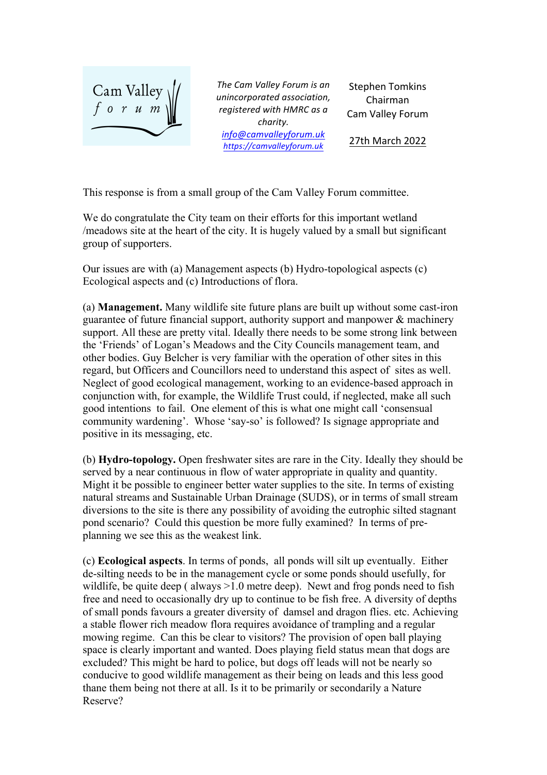

The Cam Valley Forum is an *unincorporated association, registered with HMRC as a charity. info@camvalleyforum.uk https://camvalleyforum.uk*

Stephen Tomkins Chairman Cam Valley Forum

27th March 2022

This response is from a small group of the Cam Valley Forum committee.

We do congratulate the City team on their efforts for this important wetland /meadows site at the heart of the city. It is hugely valued by a small but significant group of supporters.

Our issues are with (a) Management aspects (b) Hydro-topological aspects (c) Ecological aspects and (c) Introductions of flora.

(a) **Management.** Many wildlife site future plans are built up without some cast-iron guarantee of future financial support, authority support and manpower & machinery support. All these are pretty vital. Ideally there needs to be some strong link between the 'Friends' of Logan's Meadows and the City Councils management team, and other bodies. Guy Belcher is very familiar with the operation of other sites in this regard, but Officers and Councillors need to understand this aspect of sites as well. Neglect of good ecological management, working to an evidence-based approach in conjunction with, for example, the Wildlife Trust could, if neglected, make all such good intentions to fail. One element of this is what one might call 'consensual community wardening'. Whose 'say-so' is followed? Is signage appropriate and positive in its messaging, etc.

(b) **Hydro-topology.** Open freshwater sites are rare in the City. Ideally they should be served by a near continuous in flow of water appropriate in quality and quantity. Might it be possible to engineer better water supplies to the site. In terms of existing natural streams and Sustainable Urban Drainage (SUDS), or in terms of small stream diversions to the site is there any possibility of avoiding the eutrophic silted stagnant pond scenario? Could this question be more fully examined? In terms of preplanning we see this as the weakest link.

(c) **Ecological aspects**. In terms of ponds, all ponds will silt up eventually. Either de-silting needs to be in the management cycle or some ponds should usefully, for wildlife, be quite deep ( always  $>1.0$  metre deep). Newt and frog ponds need to fish free and need to occasionally dry up to continue to be fish free. A diversity of depths of small ponds favours a greater diversity of damsel and dragon flies. etc. Achieving a stable flower rich meadow flora requires avoidance of trampling and a regular mowing regime. Can this be clear to visitors? The provision of open ball playing space is clearly important and wanted. Does playing field status mean that dogs are excluded? This might be hard to police, but dogs off leads will not be nearly so conducive to good wildlife management as their being on leads and this less good thane them being not there at all. Is it to be primarily or secondarily a Nature Reserve?